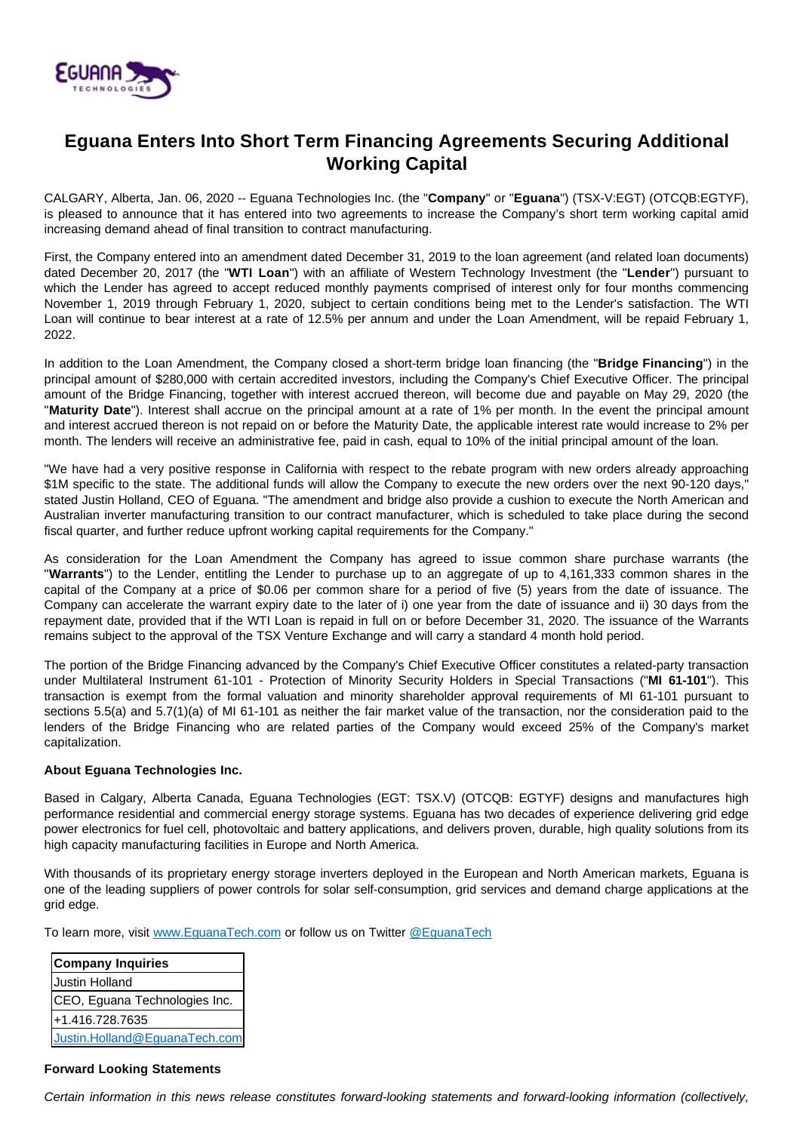

## **Eguana Enters Into Short Term Financing Agreements Securing Additional Working Capital**

CALGARY, Alberta, Jan. 06, 2020 -- Eguana Technologies Inc. (the "**Company**" or "**Eguana**") (TSX-V:EGT) (OTCQB:EGTYF), is pleased to announce that it has entered into two agreements to increase the Company's short term working capital amid increasing demand ahead of final transition to contract manufacturing.

First, the Company entered into an amendment dated December 31, 2019 to the loan agreement (and related loan documents) dated December 20, 2017 (the "**WTI Loan**") with an affiliate of Western Technology Investment (the "**Lender**") pursuant to which the Lender has agreed to accept reduced monthly payments comprised of interest only for four months commencing November 1, 2019 through February 1, 2020, subject to certain conditions being met to the Lender's satisfaction. The WTI Loan will continue to bear interest at a rate of 12.5% per annum and under the Loan Amendment, will be repaid February 1, 2022.

In addition to the Loan Amendment, the Company closed a short-term bridge loan financing (the "**Bridge Financing**") in the principal amount of \$280,000 with certain accredited investors, including the Company's Chief Executive Officer. The principal amount of the Bridge Financing, together with interest accrued thereon, will become due and payable on May 29, 2020 (the "**Maturity Date**"). Interest shall accrue on the principal amount at a rate of 1% per month. In the event the principal amount and interest accrued thereon is not repaid on or before the Maturity Date, the applicable interest rate would increase to 2% per month. The lenders will receive an administrative fee, paid in cash, equal to 10% of the initial principal amount of the loan.

"We have had a very positive response in California with respect to the rebate program with new orders already approaching \$1M specific to the state. The additional funds will allow the Company to execute the new orders over the next 90-120 days," stated Justin Holland, CEO of Eguana. "The amendment and bridge also provide a cushion to execute the North American and Australian inverter manufacturing transition to our contract manufacturer, which is scheduled to take place during the second fiscal quarter, and further reduce upfront working capital requirements for the Company."

As consideration for the Loan Amendment the Company has agreed to issue common share purchase warrants (the "**Warrants**") to the Lender, entitling the Lender to purchase up to an aggregate of up to 4,161,333 common shares in the capital of the Company at a price of \$0.06 per common share for a period of five (5) years from the date of issuance. The Company can accelerate the warrant expiry date to the later of i) one year from the date of issuance and ii) 30 days from the repayment date, provided that if the WTI Loan is repaid in full on or before December 31, 2020. The issuance of the Warrants remains subject to the approval of the TSX Venture Exchange and will carry a standard 4 month hold period.

The portion of the Bridge Financing advanced by the Company's Chief Executive Officer constitutes a related-party transaction under Multilateral Instrument 61-101 - Protection of Minority Security Holders in Special Transactions ("**MI 61-101**"). This transaction is exempt from the formal valuation and minority shareholder approval requirements of MI 61-101 pursuant to sections 5.5(a) and 5.7(1)(a) of MI 61-101 as neither the fair market value of the transaction, nor the consideration paid to the lenders of the Bridge Financing who are related parties of the Company would exceed 25% of the Company's market capitalization.

## **About Eguana Technologies Inc.**

Based in Calgary, Alberta Canada, Eguana Technologies (EGT: TSX.V) (OTCQB: EGTYF) designs and manufactures high performance residential and commercial energy storage systems. Eguana has two decades of experience delivering grid edge power electronics for fuel cell, photovoltaic and battery applications, and delivers proven, durable, high quality solutions from its high capacity manufacturing facilities in Europe and North America.

With thousands of its proprietary energy storage inverters deployed in the European and North American markets, Eguana is one of the leading suppliers of power controls for solar self-consumption, grid services and demand charge applications at the grid edge.

To learn more, visit [www.EguanaTech.com](http://www.eguanatech.com/) or follow us on Twitter [@EguanaTech](https://twitter.com/EguanaTech)

| <b>Company Inquiries</b>      |
|-------------------------------|
| Justin Holland                |
| CEO, Eguana Technologies Inc. |
| +1.416.728.7635               |
| Justin.Holland@EguanaTech.com |

## **Forward Looking Statements**

Certain information in this news release constitutes forward-looking statements and forward-looking information (collectively,